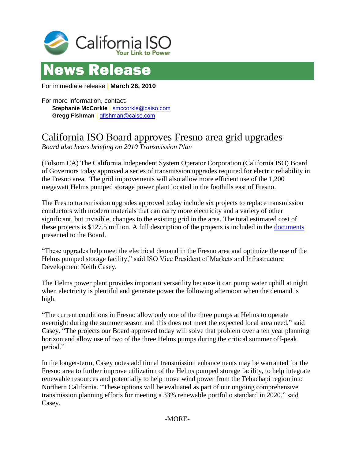



For immediate release | **March 26, 2010**

For more information, contact: **Stephanie McCorkle** | [smccorkle@caiso.com](mailto:smccorkle@caiso.com) **Gregg Fishman** | [gfishman@caiso.com](mailto:gfishman@caiso.com)

## California ISO Board approves Fresno area grid upgrades

*Board also hears briefing on 2010 Transmission Plan* 

(Folsom CA) The California Independent System Operator Corporation (California ISO) Board of Governors today approved a series of transmission upgrades required for electric reliability in the Fresno area. The grid improvements will also allow more efficient use of the 1,200 megawatt Helms pumped storage power plant located in the foothills east of Fresno.

The Fresno transmission upgrades approved today include six projects to replace transmission conductors with modern materials that can carry more electricity and a variety of other significant, but invisible, changes to the existing grid in the area. The total estimated cost of these projects is \$127.5 million. A full description of the projects is included in the [documents](http://www.caiso.com/275d/275daccb5e770.pdf) presented to the Board.

"These upgrades help meet the electrical demand in the Fresno area and optimize the use of the Helms pumped storage facility," said ISO Vice President of Markets and Infrastructure Development Keith Casey.

The Helms power plant provides important versatility because it can pump water uphill at night when electricity is plentiful and generate power the following afternoon when the demand is high.

"The current conditions in Fresno allow only one of the three pumps at Helms to operate overnight during the summer season and this does not meet the expected local area need," said Casey. "The projects our Board approved today will solve that problem over a ten year planning horizon and allow use of two of the three Helms pumps during the critical summer off-peak period."

In the longer-term, Casey notes additional transmission enhancements may be warranted for the Fresno area to further improve utilization of the Helms pumped storage facility, to help integrate renewable resources and potentially to help move wind power from the Tehachapi region into Northern California. "These options will be evaluated as part of our ongoing comprehensive transmission planning efforts for meeting a 33% renewable portfolio standard in 2020," said Casey.